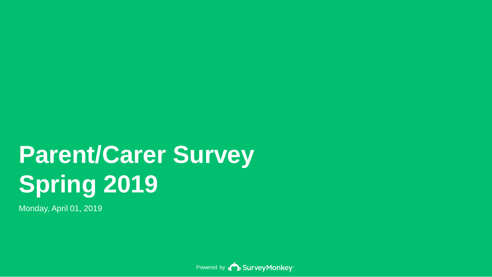# **Parent/Carer Survey Spring 2019**

Monday, April 01, 2019

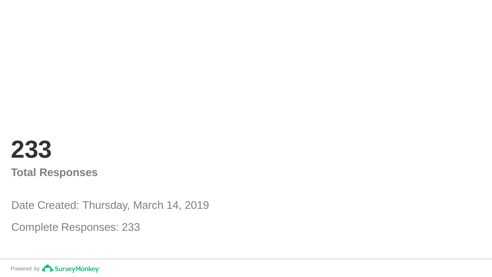## **233 Total Responses**

Date Created: Thursday, March 14, 2019

Complete Responses: 233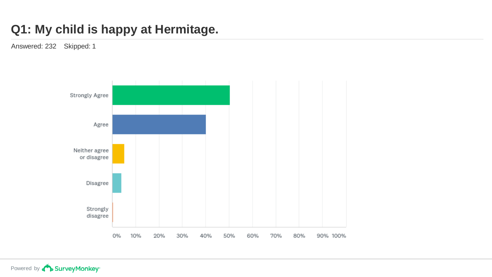### **Q1: My child is happy at Hermitage.**

Answered: 232 Skipped: 1

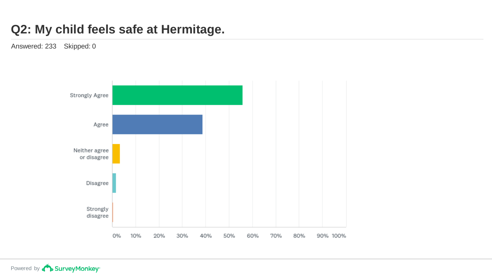#### **Q2: My child feels safe at Hermitage.**

Answered: 233 Skipped: 0

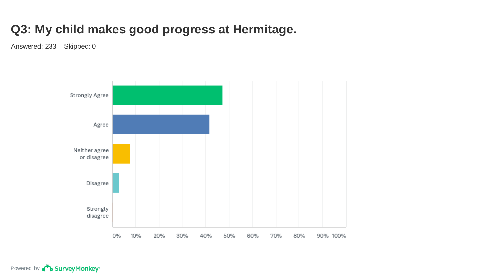### **Q3: My child makes good progress at Hermitage.**

Answered: 233 Skipped: 0

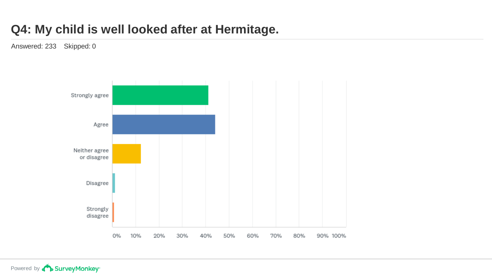### **Q4: My child is well looked after at Hermitage.**

Answered: 233 Skipped: 0

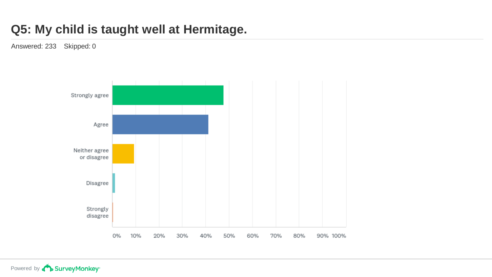### **Q5: My child is taught well at Hermitage.**

Answered: 233 Skipped: 0

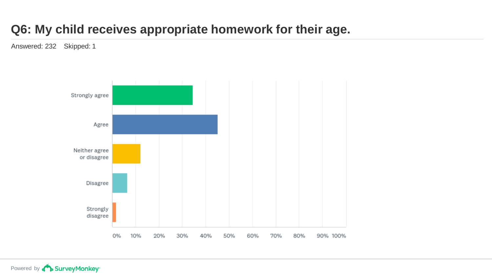### **Q6: My child receives appropriate homework for their age.**

Answered: 232 Skipped: 1

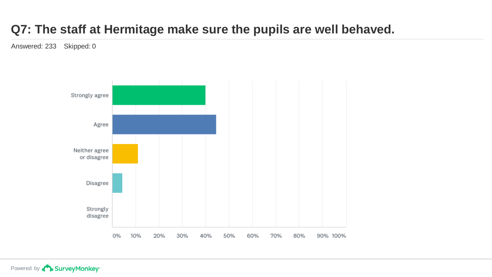### **Q7: The staff at Hermitage make sure the pupils are well behaved.**

Answered: 233 Skipped: 0

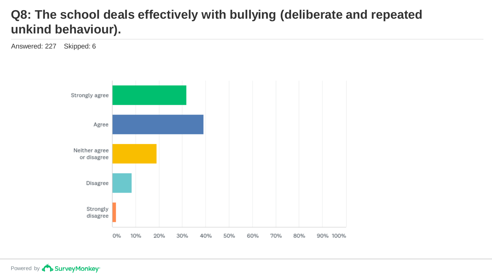#### **Q8: The school deals effectively with bullying (deliberate and repeated unkind behaviour).**

Answered: 227 Skipped: 6

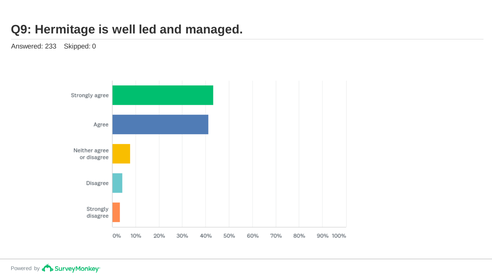#### **Q9: Hermitage is well led and managed.**

Answered: 233 Skipped: 0

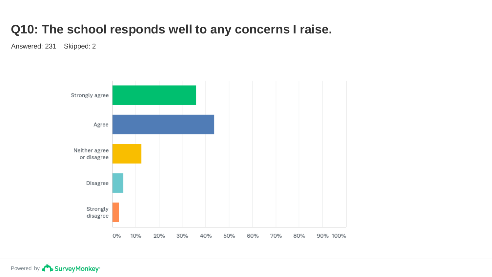#### **Q10: The school responds well to any concerns I raise.**

Answered: 231 Skipped: 2

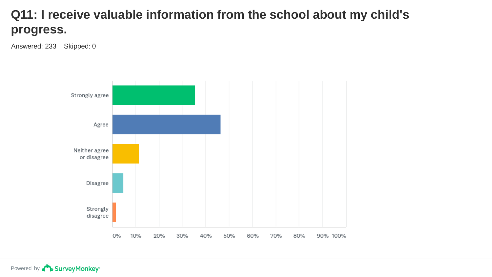### **Q11: I receive valuable information from the school about my child's progress.**

Answered: 233 Skipped: 0

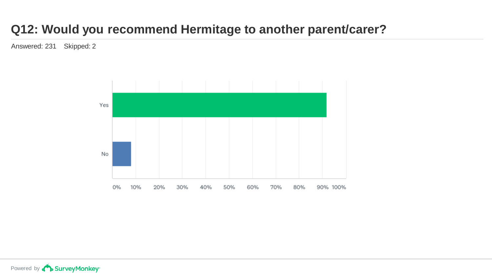### **Q12: Would you recommend Hermitage to another parent/carer?**

Answered: 231 Skipped: 2

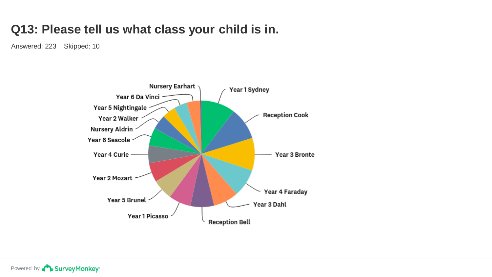#### **Q13: Please tell us what class your child is in.**

Answered: 223 Skipped: 10